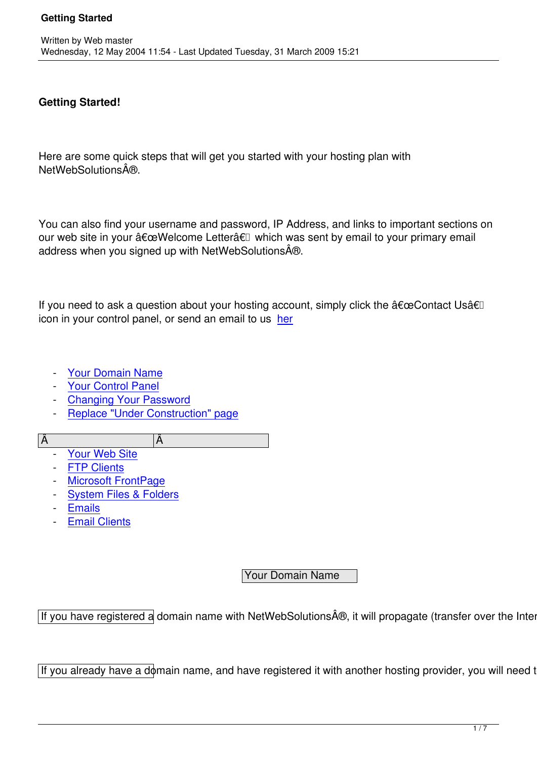## **Getting Started!**

Here are some quick steps that will get you started with your hosting plan with NetWebSolutions®.

You can also find your username and password, IP Address, and links to important sections on our web site in your "Welcome Letterâ€l which was sent by email to your primary email address when you signed up with NetWebSolutions $\hat{A}\oplus$ .

If you need to ask a question about your hosting account, simply click the  $\hat{a} \in \mathbb{C}$ Contact Usâ $\in \mathbb{I}$ icon in your control panel, or send an email to us her

- Your Domain Name
- Your Control Panel
- Changing Your Password
- [Replace "Under Con](..//#domain)struction" page

 $A$ and  $|A$  and  $|A$  and  $|A$  and  $|A$  and  $|A$  and  $|A$  and  $|A$  and  $|A|$  and  $|A|$  and  $|A|$  and  $|A|$  and  $|A|$  and  $|A|$  and  $|A|$  and  $|A|$  and  $|A|$  and  $|A|$  and  $|A|$  and  $|A|$  and  $|A|$  and  $|A|$  and  $|A|$  and

- [Your Web Site](../site2/content/view/17/87/#replace)
- **FTP Clients**
- Microsoft FrontPage
- [System Files &](../site2/content/view/17/87/#website) Folders
- [Emails](../site2/content/view/17/87/#ftp)
- [Email Clients](../site2/content/view/17/87/#frontpage)

## Your Domain Name

If you have registered a domain name with NetWebSolutions®, it will propagate (transfer over the Internet

If you already have a domain name, and have registered it with another hosting provider, you will need to do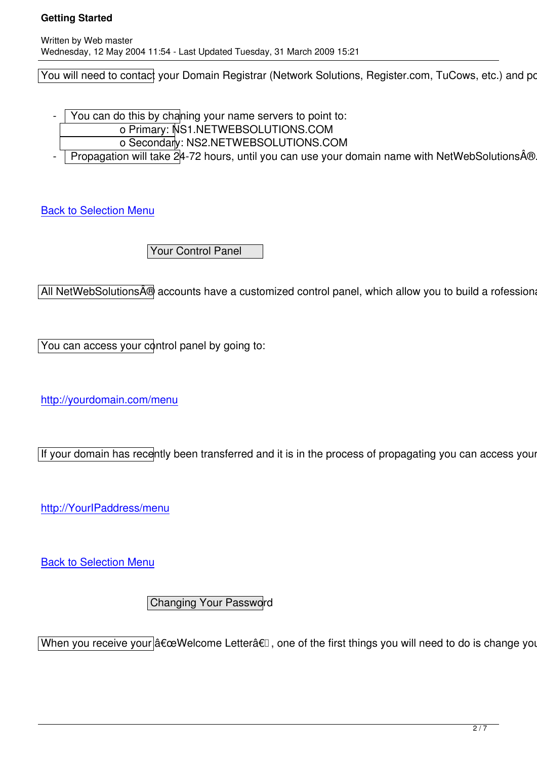You will need to contact your Domain Registrar (Network Solutions, Register.com, TuCows, etc.) and point

- You can do this by chaning your name servers to point to:
	- o Primary: NS1.NETWEBSOLUTIONS.COM
		- o Secondary: NS2.NETWEBSOLUTIONS.COM
- Propagation will take 24-72 hours, until you can use your domain name with NetWebSolutions®. Un

**Back to Selection Menu** 

 [Y](../site2/content/view/17/87/#selection)our Control Panel

All NetWebSolutions® accounts have a customized control panel, which allow you to build a rofessional w

You can access your control panel by going to:

http://yourdomain.com/menu

[If your domain has recently b](../site2/content/view/17/87/)een transferred and it is in the process of propagating you can access your co

http://YourIPaddress/menu

[Back to Selection Menu](../site2/content/view/17/87/)

 [C](../site2/content/view/17/87/#selection)hanging Your Password

When you receive your a€ceWelcome Letterâ€ $\square$ , one of the first things you will need to do is change your password.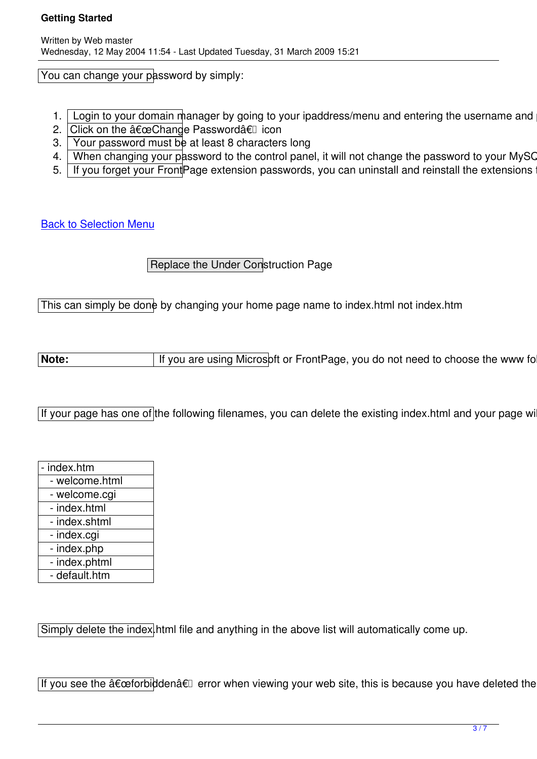You can change your password by simply:

- 1. Login to your domain manager by going to your ipaddress/menu and entering the username and pas
- 2. Click on the  $\hat{a} \in \mathbb{C}$ change Password $\hat{a} \in \mathbb{I}$  icon
- 3. Your password must be at least 8 characters long
- 4. When changing your password to the control panel, it will not change the password to your MySQL,
- 5. If you forget your Front Page extension passwords, you can uninstall and reinstall the extensions to reset the pass

Back to Selection Menu

 [R](../site2/content/view/17/87/#selection)eplace the Under Construction Page

This can simply be done by changing your home page name to index.html not index.htm

Note: | If you are using Microsoft or FrontPage, you do not need to choose the www folder

If your page has one of the following filenames, you can delete the existing index.html and your page will automatically show up.

index.htm - welcome.html - welcome.cgi - index.html - index.shtml - index.cgi - index.php - index.phtml - default.htm

Simply delete the index. html file and anything in the above list will automatically come up.

If you see the "forbidden†error when viewing your web site, this is because you have deleted the inc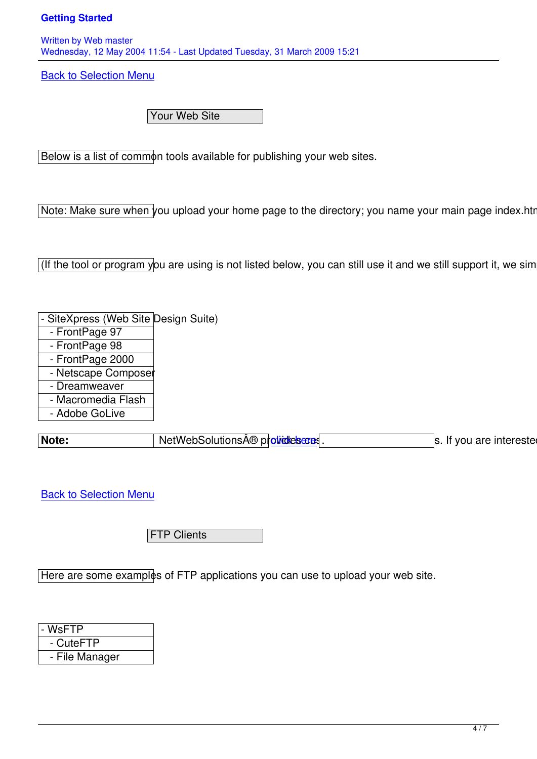Written by Web master and Web master and Web master and Web master and Web master and Web master and Web master Wednesday, 12 May 2004 11:54 - Last Updated Tuesday, 31 March 2009 15:21

**Back to Selection Menu** 

 [Y](../site2/content/view/17/87/#selection)our Web Site

Below is a list of common tools available for publishing your web sites.

Note: Make sure when you upload your home page to the directory; you name your main page index.html (

(If the tool or program you are using is not listed below, you can still use it and we still support it, we simply

- SiteXpress (Web Site Design Suite)
- FrontPage 97
- FrontPage 98
- FrontPage 2000
- Netscape Composer
- Dreamweaver
- Macromedia Flash
- Adobe GoLive

**Note:** NetWebSolutions  $\hat{A} \oplus \hat{p}$  over design services. If you are interested in

**Back to Selection Menu** 

**FTP Clients** 

Here are some examples of FTP applications you can use to upload your web site.

| - WsFTP        |  |
|----------------|--|
| - CuteFTP      |  |
| - File Manager |  |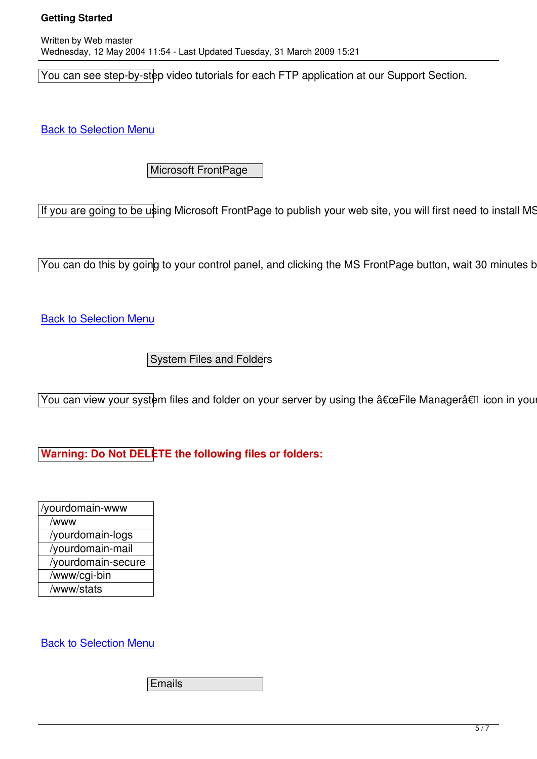Written by Web master by Web master by Web master by Web master by Web master by Web master by Web master by W Wednesday, 12 May 2004 11:54 - Last Updated Tuesday, 31 March 2009 15:21

You can see step-by-step video tutorials for each FTP application at our Support Section.

**Back to Selection Menu** 

 [M](../site2/content/view/17/87/#selection)icrosoft FrontPage

If you are going to be using Microsoft FrontPage to publish your web site, you will first need to install MS Fr

 $\sqrt{v}$  You can do this by going to your control panel, and clicking the MS FrontPage button, wait 30 minutes befo

**Back to Selection Menu** 

 [S](../site2/content/view/17/87/#selection)ystem Files and Folders

You can view your system files and folder on your server by using the "File Managerâ€l icon in your Control

**Warning: Do Not DELETE the following files or folders:**

| /yourdomain-www    |
|--------------------|
| /www               |
| /yourdomain-logs   |
| /yourdomain-mail   |
| /yourdomain-secure |
| /www/cgi-bin       |
| /www/stats         |
|                    |

**Back to Selection Menu** 

 [E](../site2/content/view/17/87/#selection)mails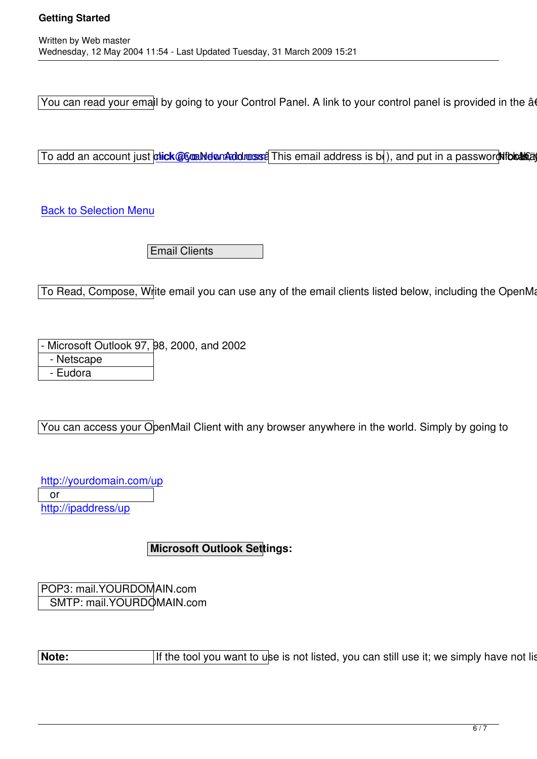You can read your email by going to your Control Panel. A link to your control panel is provided in the "'

To add an account just dick@6@MelonAddresse This email address is b(), and put in a password this and the

**Back to Selection Menu** 

 [E](../site2/content/view/17/87/#selection)mail Clients

To Read, Compose, Write email you can use any of the email clients listed below, including the OpenMail (

Microsoft Outlook 97, 98, 2000, and 2002

- Netscape

- Eudora

You can access your OpenMail Client with any browser anywhere in the world. Simply by going to

http://yourdomain.com/up or http://ipaddress/up

## **Microsoft Outlook Settings:**

POP3: mail.YOURDOMAIN.com SMTP: mail.YOURDOMAIN.com

**Note: If the tool you want to use is not listed, you can still use it; we simply have not listed it.**